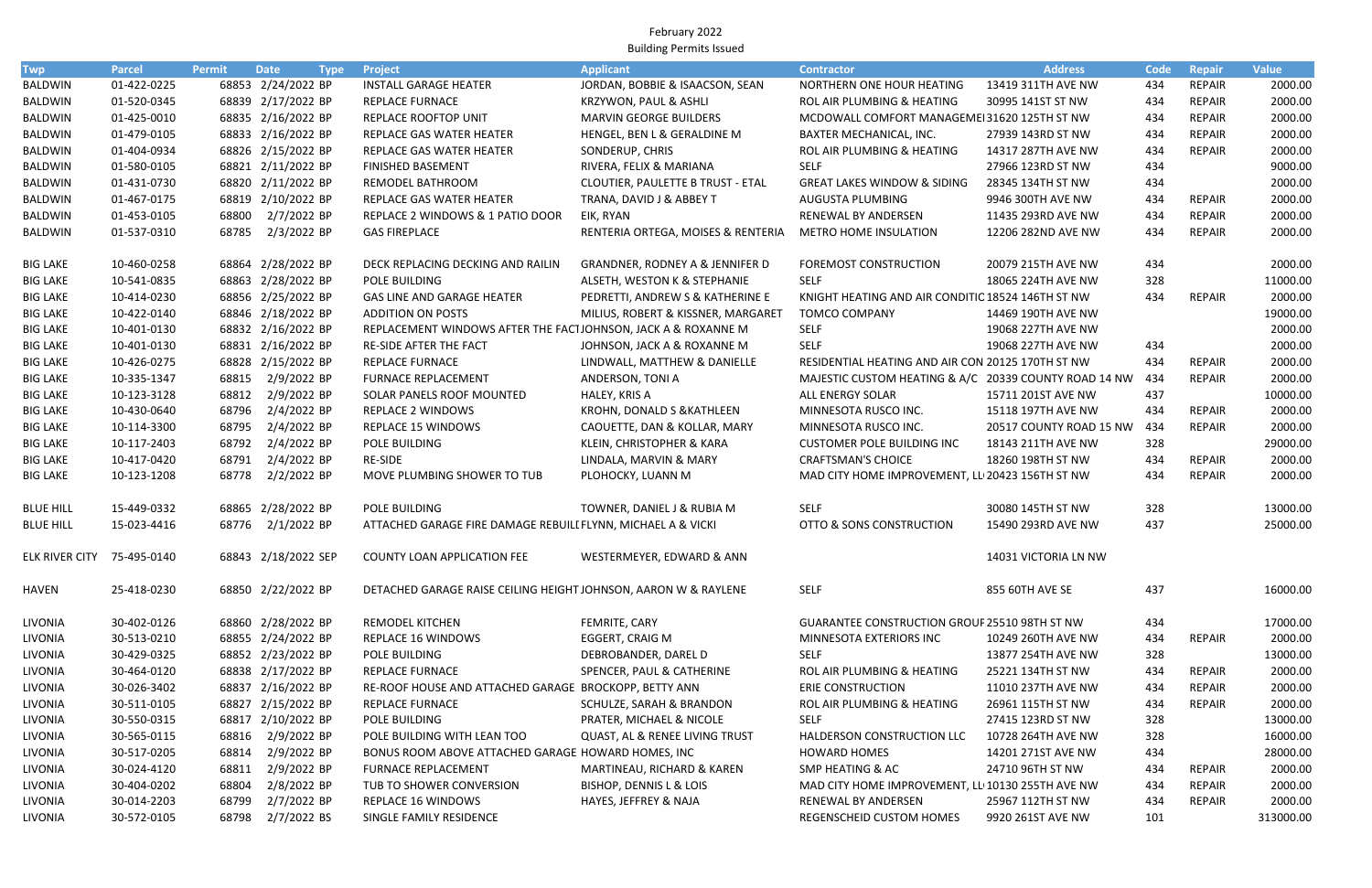February 2022 Building Permits Issued

| <b>Twp</b>                 | <b>Parcel</b> | Permit         | <b>Date</b>                      | <b>Type</b> | Project                                                                           | <b>Applicant</b>                           | <b>Contractor</b>                                     | <b>Address</b>                         | <b>Code</b> | Repair                  | <b>Value</b>         |
|----------------------------|---------------|----------------|----------------------------------|-------------|-----------------------------------------------------------------------------------|--------------------------------------------|-------------------------------------------------------|----------------------------------------|-------------|-------------------------|----------------------|
| BALDWIN                    | 01-422-0225   |                | 68853 2/24/2022 BP               |             | <b>INSTALL GARAGE HEATER</b>                                                      | JORDAN, BOBBIE & ISAACSON, SEAN            | NORTHERN ONE HOUR HEATING                             | 13419 311TH AVE NW                     | 434         | REPAIR                  | 2000.00              |
| <b>BALDWIN</b>             | 01-520-0345   |                | 68839 2/17/2022 BP               |             | <b>REPLACE FURNACE</b>                                                            | KRZYWON, PAUL & ASHLI                      | ROL AIR PLUMBING & HEATING                            | 30995 141ST ST NW                      | 434         | <b>REPAIR</b>           | 2000.00              |
| <b>BALDWIN</b>             | 01-425-0010   |                | 68835 2/16/2022 BP               |             | <b>REPLACE ROOFTOP UNIT</b>                                                       | <b>MARVIN GEORGE BUILDERS</b>              | MCDOWALL COMFORT MANAGEME131620 125TH ST NW           |                                        | 434         | <b>REPAIR</b>           | 2000.00              |
| <b>BALDWIN</b>             | 01-479-0105   |                | 68833 2/16/2022 BP               |             | REPLACE GAS WATER HEATER                                                          | HENGEL, BEN L & GERALDINE M                | BAXTER MECHANICAL, INC.                               | 27939 143RD ST NW                      | 434         | <b>REPAIR</b>           | 2000.00              |
| <b>BALDWIN</b>             | 01-404-0934   |                | 68826 2/15/2022 BP               |             | REPLACE GAS WATER HEATER                                                          | SONDERUP, CHRIS                            | ROL AIR PLUMBING & HEATING                            | 14317 287TH AVE NW                     | 434         | REPAIR                  | 2000.00              |
| BALDWIN                    | 01-580-0105   |                | 68821 2/11/2022 BP               |             | FINISHED BASEMENT                                                                 | RIVERA, FELIX & MARIANA                    | <b>SELF</b>                                           | 27966 123RD ST NW                      | 434         |                         | 9000.00              |
| BALDWIN                    | 01-431-0730   |                | 68820 2/11/2022 BP               |             | REMODEL BATHROOM                                                                  | CLOUTIER, PAULETTE B TRUST - ETAL          | <b>GREAT LAKES WINDOW &amp; SIDING</b>                | 28345 134TH ST NW                      | 434         |                         | 2000.00              |
| BALDWIN                    | 01-467-0175   |                | 68819 2/10/2022 BP               |             | REPLACE GAS WATER HEATER                                                          | TRANA, DAVID J & ABBEY T                   | AUGUSTA PLUMBING                                      | 9946 300TH AVE NW                      | 434         | REPAIR                  | 2000.00              |
| BALDWIN                    | 01-453-0105   | 68800          | 2/7/2022 BP                      |             | REPLACE 2 WINDOWS & 1 PATIO DOOR                                                  | EIK, RYAN                                  | RENEWAL BY ANDERSEN                                   | 11435 293RD AVE NW                     | 434         | <b>REPAIR</b>           | 2000.00              |
| BALDWIN                    | 01-537-0310   | 68785          | 2/3/2022 BP                      |             | <b>GAS FIREPLACE</b>                                                              | RENTERIA ORTEGA, MOISES & RENTERIA         | <b>METRO HOME INSULATION</b>                          | 12206 282ND AVE NW                     | 434         | <b>REPAIR</b>           | 2000.00              |
| <b>BIG LAKE</b>            | 10-460-0258   |                | 68864 2/28/2022 BP               |             | DECK REPLACING DECKING AND RAILIN                                                 | <b>GRANDNER, RODNEY A &amp; JENNIFER D</b> | <b>FOREMOST CONSTRUCTION</b>                          | 20079 215TH AVE NW                     | 434         |                         | 2000.00              |
| <b>BIG LAKE</b>            | 10-541-0835   |                | 68863 2/28/2022 BP               |             | POLE BUILDING                                                                     | ALSETH, WESTON K & STEPHANIE               | <b>SELF</b>                                           | 18065 224TH AVE NW                     | 328         |                         | 11000.00             |
| <b>BIG LAKE</b>            | 10-414-0230   |                | 68856 2/25/2022 BP               |             | GAS LINE AND GARAGE HEATER                                                        | PEDRETTI, ANDREW S & KATHERINE E           | KNIGHT HEATING AND AIR CONDITIC 18524 146TH ST NW     |                                        | 434         | REPAIR                  | 2000.00              |
| <b>BIG LAKE</b>            | 10-422-0140   |                | 68846 2/18/2022 BP               |             | <b>ADDITION ON POSTS</b>                                                          | MILIUS, ROBERT & KISSNER, MARGARET         | <b>TOMCO COMPANY</b>                                  | 14469 190TH AVE NW                     |             |                         | 19000.00             |
| <b>BIG LAKE</b>            | 10-401-0130   |                | 68832 2/16/2022 BP               |             | REPLACEMENT WINDOWS AFTER THE FACTJOHNSON, JACK A & ROXANNE M                     |                                            | <b>SELF</b>                                           | 19068 227TH AVE NW                     |             |                         | 2000.00              |
| <b>BIG LAKE</b>            | 10-401-0130   |                | 68831 2/16/2022 BP               |             | RE-SIDE AFTER THE FACT                                                            | JOHNSON, JACK A & ROXANNE M                | <b>SELF</b>                                           | 19068 227TH AVE NW                     | 434         |                         | 2000.00              |
| <b>BIG LAKE</b>            | 10-426-0275   |                | 68828 2/15/2022 BP               |             | REPLACE FURNACE                                                                   | LINDWALL, MATTHEW & DANIELLE               | RESIDENTIAL HEATING AND AIR CON 20125 170TH ST NW     |                                        | 434         | REPAIR                  | 2000.00              |
| <b>BIG LAKE</b>            | 10-335-1347   | 68815          | 2/9/2022 BP                      |             | <b>FURNACE REPLACEMENT</b>                                                        | ANDERSON, TONI A                           | MAJESTIC CUSTOM HEATING & A/C 20339 COUNTY ROAD 14 NW |                                        | 434         | <b>REPAIR</b>           | 2000.00              |
| <b>BIG LAKE</b>            | 10-123-3128   | 68812          | 2/9/2022 BP                      |             | SOLAR PANELS ROOF MOUNTED                                                         | HALEY, KRIS A                              | ALL ENERGY SOLAR                                      | 15711 201ST AVE NW                     | 437         |                         | 10000.00             |
| <b>BIG LAKE</b>            | 10-430-0640   | 68796          | 2/4/2022 BP                      |             | REPLACE 2 WINDOWS                                                                 | KROHN, DONALD S & KATHLEEN                 | MINNESOTA RUSCO INC.                                  | 15118 197TH AVE NW                     | 434         | REPAIR                  | 2000.00              |
| <b>BIG LAKE</b>            | 10-114-3300   | 68795          | 2/4/2022 BP                      |             | <b>REPLACE 15 WINDOWS</b>                                                         | CAOUETTE, DAN & KOLLAR, MARY               | MINNESOTA RUSCO INC.                                  | 20517 COUNTY ROAD 15 NW                | 434         | REPAIR                  | 2000.00              |
| <b>BIG LAKE</b>            | 10-117-2403   | 68792          | 2/4/2022 BP                      |             | POLE BUILDING                                                                     | KLEIN, CHRISTOPHER & KARA                  | <b>CUSTOMER POLE BUILDING INC</b>                     | 18143 211TH AVE NW                     | 328         |                         | 29000.00             |
| <b>BIG LAKE</b>            | 10-417-0420   | 68791          | 2/4/2022 BP                      |             | RE-SIDE                                                                           | LINDALA, MARVIN & MARY                     | <b>CRAFTSMAN'S CHOICE</b>                             | 18260 198TH ST NW                      | 434         | REPAIR                  | 2000.00              |
| <b>BIG LAKE</b>            | 10-123-1208   | 68778          | 2/2/2022 BP                      |             | MOVE PLUMBING SHOWER TO TUB                                                       | PLOHOCKY, LUANN M                          | MAD CITY HOME IMPROVEMENT, LL 20423 156TH ST NW       |                                        | 434         | <b>REPAIR</b>           | 2000.00              |
| <b>BLUE HILL</b>           | 15-449-0332   |                | 68865 2/28/2022 BP               |             | POLE BUILDING                                                                     | TOWNER, DANIEL J & RUBIA M                 | <b>SELF</b>                                           | 30080 145TH ST NW                      | 328         |                         | 13000.00             |
| <b>BLUE HILL</b>           | 15-023-4416   |                | 68776 2/1/2022 BP                |             | ATTACHED GARAGE FIRE DAMAGE REBUILI FLYNN, MICHAEL A & VICKI                      |                                            | OTTO & SONS CONSTRUCTION                              | 15490 293RD AVE NW                     | 437         |                         | 25000.00             |
| ELK RIVER CITY 75-495-0140 |               |                | 68843 2/18/2022 SEP              |             | COUNTY LOAN APPLICATION FEE                                                       | WESTERMEYER, EDWARD & ANN                  |                                                       | 14031 VICTORIA LN NW                   |             |                         |                      |
| <b>HAVEN</b>               | 25-418-0230   |                | 68850 2/22/2022 BP               |             | DETACHED GARAGE RAISE CEILING HEIGHT JOHNSON, AARON W & RAYLENE                   |                                            | <b>SELF</b>                                           | 855 60TH AVE SE                        | 437         |                         | 16000.00             |
| LIVONIA                    | 30-402-0126   |                | 68860 2/28/2022 BP               |             | <b>REMODEL KITCHEN</b>                                                            | FEMRITE, CARY                              | <b>GUARANTEE CONSTRUCTION GROUF 25510 98TH ST NW</b>  |                                        | 434         |                         | 17000.00             |
| LIVONIA                    | 30-513-0210   |                | 68855 2/24/2022 BP               |             | REPLACE 16 WINDOWS                                                                | EGGERT, CRAIG M                            | MINNESOTA EXTERIORS INC                               | 10249 260TH AVE NW                     | 434         | REPAIR                  | 2000.00              |
| LIVONIA                    | 30-429-0325   |                | 68852 2/23/2022 BP               |             | POLE BUILDING                                                                     | DEBROBANDER, DAREL D                       | <b>SELF</b>                                           | 13877 254TH AVE NW                     | 328         |                         | 13000.00             |
| LIVONIA                    | 30-464-0120   |                | 68838 2/17/2022 BP               |             | <b>REPLACE FURNACE</b>                                                            | SPENCER, PAUL & CATHERINE                  | ROL AIR PLUMBING & HEATING                            | 25221 134TH ST NW                      | 434         | <b>REPAIR</b>           | 2000.00              |
| LIVONIA                    | 30-026-3402   |                | 68837 2/16/2022 BP               |             | RE-ROOF HOUSE AND ATTACHED GARAGE BROCKOPP, BETTY ANN                             |                                            | <b>ERIE CONSTRUCTION</b>                              | 11010 237TH AVE NW                     | 434         | REPAIR                  | 2000.00              |
| LIVONIA                    | 30-511-0105   |                | 68827 2/15/2022 BP               |             | <b>REPLACE FURNACE</b>                                                            | SCHULZE, SARAH & BRANDON                   | ROL AIR PLUMBING & HEATING                            | 26961 115TH ST NW                      | 434         | REPAIR                  | 2000.00              |
| LIVONIA                    | 30-550-0315   |                | 68817 2/10/2022 BP               |             | POLE BUILDING                                                                     | PRATER, MICHAEL & NICOLE                   | SELF                                                  | 27415 123RD ST NW                      | 328         |                         | 13000.00             |
|                            |               |                |                                  |             |                                                                                   |                                            |                                                       |                                        |             |                         |                      |
| LIVONIA                    | 30-565-0115   |                | 68816 2/9/2022 BP<br>2/9/2022 BP |             | POLE BUILDING WITH LEAN TOO<br>BONUS ROOM ABOVE ATTACHED GARAGE HOWARD HOMES, INC | QUAST, AL & RENEE LIVING TRUST             | HALDERSON CONSTRUCTION LLC                            | 10728 264TH AVE NW                     | 328<br>434  |                         | 16000.00<br>28000.00 |
| LIVONIA                    | 30-517-0205   | 68814          | 2/9/2022 BP                      |             | <b>FURNACE REPLACEMENT</b>                                                        |                                            | <b>HOWARD HOMES</b>                                   | 14201 271ST AVE NW<br>24710 96TH ST NW | 434         |                         | 2000.00              |
| LIVONIA                    | 30-024-4120   | 68811          | 2/8/2022 BP                      |             |                                                                                   | MARTINEAU, RICHARD & KAREN                 | SMP HEATING & AC                                      |                                        |             | REPAIR<br><b>REPAIR</b> |                      |
| LIVONIA                    | 30-404-0202   | 68804          | 2/7/2022 BP                      |             | TUB TO SHOWER CONVERSION                                                          | BISHOP, DENNIS L & LOIS                    | MAD CITY HOME IMPROVEMENT, LL 10130 255TH AVE NW      |                                        | 434         |                         | 2000.00              |
| LIVONIA                    | 30-014-2203   | 68799<br>68798 |                                  |             | REPLACE 16 WINDOWS                                                                | HAYES, JEFFREY & NAJA                      | RENEWAL BY ANDERSEN                                   | 25967 112TH ST NW                      | 434         | REPAIR                  | 2000.00              |
| LIVONIA                    | 30-572-0105   |                | 2/7/2022 BS                      |             | SINGLE FAMILY RESIDENCE                                                           |                                            | REGENSCHEID CUSTOM HOMES                              | 9920 261ST AVE NW                      | 101         |                         | 313000.00            |